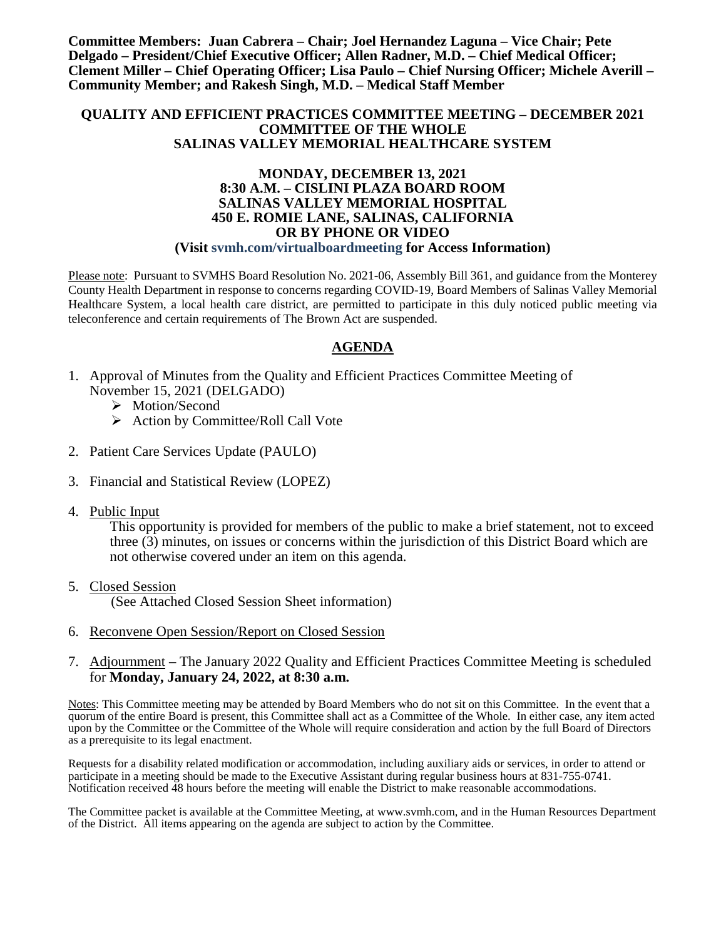**Committee Members: Juan Cabrera – Chair; Joel Hernandez Laguna – Vice Chair; Pete Delgado – President/Chief Executive Officer; Allen Radner, M.D. – Chief Medical Officer; Clement Miller – Chief Operating Officer; Lisa Paulo – Chief Nursing Officer; Michele Averill – Community Member; and Rakesh Singh, M.D. – Medical Staff Member**

### **QUALITY AND EFFICIENT PRACTICES COMMITTEE MEETING – DECEMBER 2021 COMMITTEE OF THE WHOLE SALINAS VALLEY MEMORIAL HEALTHCARE SYSTEM**

#### **MONDAY, DECEMBER 13, 2021 8:30 A.M. – CISLINI PLAZA BOARD ROOM SALINAS VALLEY MEMORIAL HOSPITAL 450 E. ROMIE LANE, SALINAS, CALIFORNIA OR BY PHONE OR VIDEO (Visit svmh.com/virtualboardmeeting for Access Information)**

Please note: Pursuant to SVMHS Board Resolution No. 2021-06, Assembly Bill 361, and guidance from the Monterey County Health Department in response to concerns regarding COVID-19, Board Members of Salinas Valley Memorial Healthcare System, a local health care district, are permitted to participate in this duly noticed public meeting via teleconference and certain requirements of The Brown Act are suspended.

### **AGENDA**

- 1. Approval of Minutes from the Quality and Efficient Practices Committee Meeting of November 15, 2021 (DELGADO)
	- > Motion/Second
	- $\triangleright$  Action by Committee/Roll Call Vote
- 2. Patient Care Services Update (PAULO)
- 3. Financial and Statistical Review (LOPEZ)
- 4. Public Input

This opportunity is provided for members of the public to make a brief statement, not to exceed three (3) minutes, on issues or concerns within the jurisdiction of this District Board which are not otherwise covered under an item on this agenda.

- 5. Closed Session (See Attached Closed Session Sheet information)
- 6. Reconvene Open Session/Report on Closed Session
- 7. Adjournment The January 2022 Quality and Efficient Practices Committee Meeting is scheduled for **Monday, January 24, 2022, at 8:30 a.m.**

Notes: This Committee meeting may be attended by Board Members who do not sit on this Committee. In the event that a quorum of the entire Board is present, this Committee shall act as a Committee of the Whole. In either case, any item acted upon by the Committee or the Committee of the Whole will require consideration and action by the full Board of Directors as a prerequisite to its legal enactment.

Requests for a disability related modification or accommodation, including auxiliary aids or services, in order to attend or participate in a meeting should be made to the Executive Assistant during regular business hours at 831-755-0741. Notification received 48 hours before the meeting will enable the District to make reasonable accommodations.

The Committee packet is available at the Committee Meeting, at www.svmh.com, and in the Human Resources Department of the District. All items appearing on the agenda are subject to action by the Committee.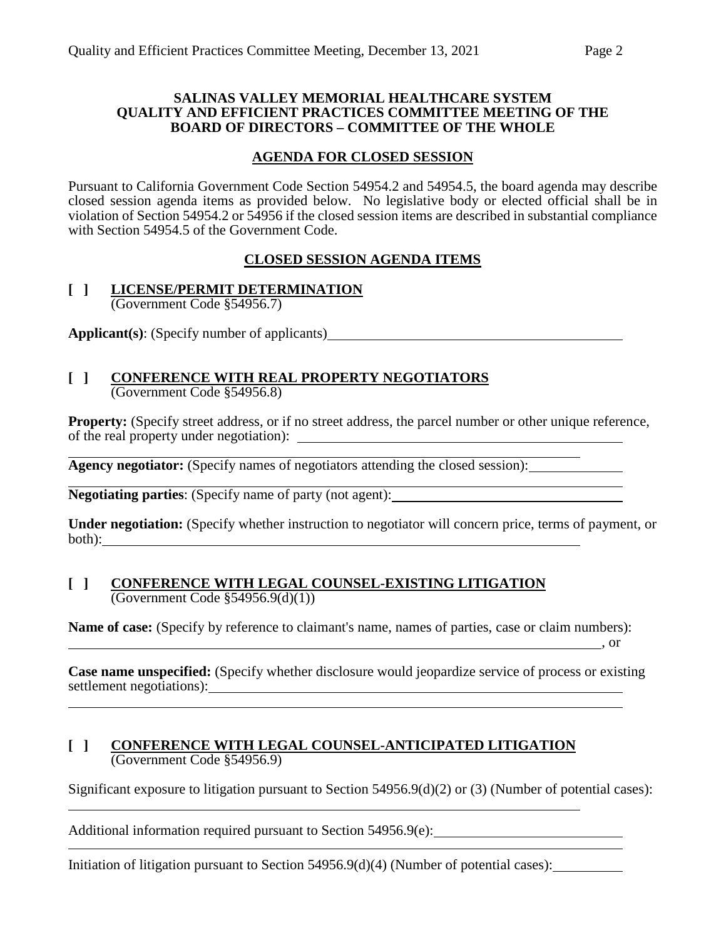### **SALINAS VALLEY MEMORIAL HEALTHCARE SYSTEM QUALITY AND EFFICIENT PRACTICES COMMITTEE MEETING OF THE BOARD OF DIRECTORS – COMMITTEE OF THE WHOLE**

## **AGENDA FOR CLOSED SESSION**

Pursuant to California Government Code Section 54954.2 and 54954.5, the board agenda may describe closed session agenda items as provided below. No legislative body or elected official shall be in violation of Section 54954.2 or 54956 if the closed session items are described in substantial compliance with Section 54954.5 of the Government Code.

## **CLOSED SESSION AGENDA ITEMS**

### **[ ] LICENSE/PERMIT DETERMINATION** (Government Code §54956.7)

**Applicant(s)**: (Specify number of applicants)

### **[ ] CONFERENCE WITH REAL PROPERTY NEGOTIATORS** (Government Code §54956.8)

**Property:** (Specify street address, or if no street address, the parcel number or other unique reference, of the real property under negotiation):

**Agency negotiator:** (Specify names of negotiators attending the closed session):

**Negotiating parties**: (Specify name of party (not agent):

**Under negotiation:** (Specify whether instruction to negotiator will concern price, terms of payment, or both):

### **[ ] CONFERENCE WITH LEGAL COUNSEL-EXISTING LITIGATION** (Government Code §54956.9(d)(1))

**Name of case:** (Specify by reference to claimant's name, names of parties, case or claim numbers): ,  $\overline{\phantom{a}}$  , or

**Case name unspecified:** (Specify whether disclosure would jeopardize service of process or existing settlement negotiations):

### **[ ] CONFERENCE WITH LEGAL COUNSEL-ANTICIPATED LITIGATION** (Government Code §54956.9)

Significant exposure to litigation pursuant to Section 54956.9(d)(2) or (3) (Number of potential cases):

Additional information required pursuant to Section 54956.9(e):

Initiation of litigation pursuant to Section 54956.9(d)(4) (Number of potential cases): \_\_\_\_\_\_\_\_\_\_\_\_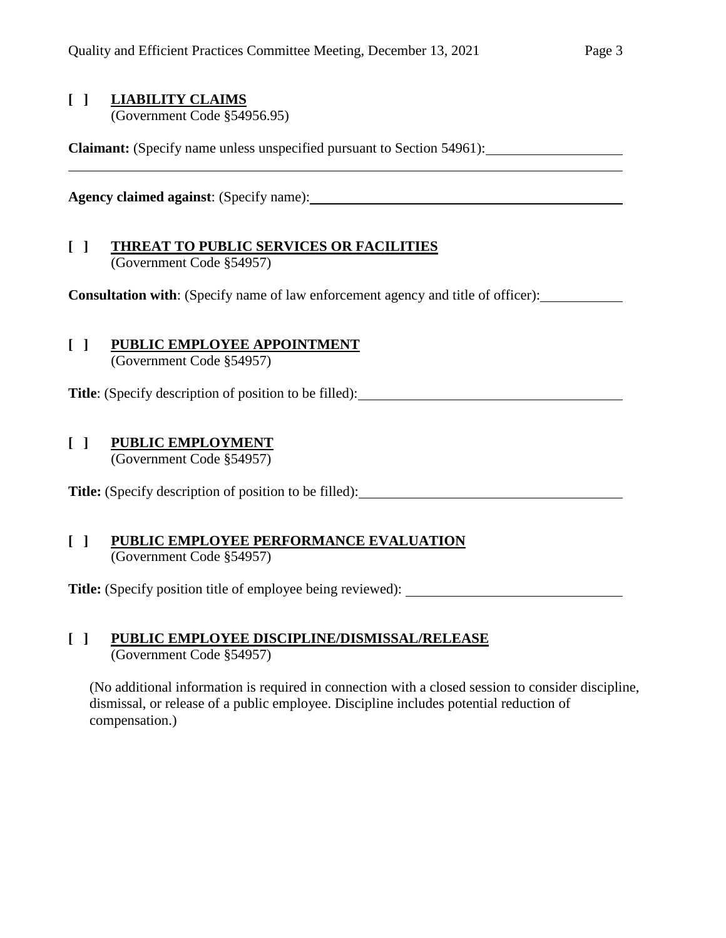## **[ ] LIABILITY CLAIMS**

(Government Code §54956.95)

**Claimant:** (Specify name unless unspecified pursuant to Section 54961):

**Agency claimed against**: (Specify name):

## **[ ] THREAT TO PUBLIC SERVICES OR FACILITIES** (Government Code §54957)

**Consultation with**: (Specify name of law enforcement agency and title of officer):

# **[ ] PUBLIC EMPLOYEE APPOINTMENT**

(Government Code §54957)

**Title**: (Specify description of position to be filled):

## **[ ] PUBLIC EMPLOYMENT**

(Government Code §54957)

**Title:** (Specify description of position to be filled):

### **[ ] PUBLIC EMPLOYEE PERFORMANCE EVALUATION** (Government Code §54957)

**Title:** (Specify position title of employee being reviewed):

## **[ ] PUBLIC EMPLOYEE DISCIPLINE/DISMISSAL/RELEASE** (Government Code §54957)

(No additional information is required in connection with a closed session to consider discipline, dismissal, or release of a public employee. Discipline includes potential reduction of compensation.)